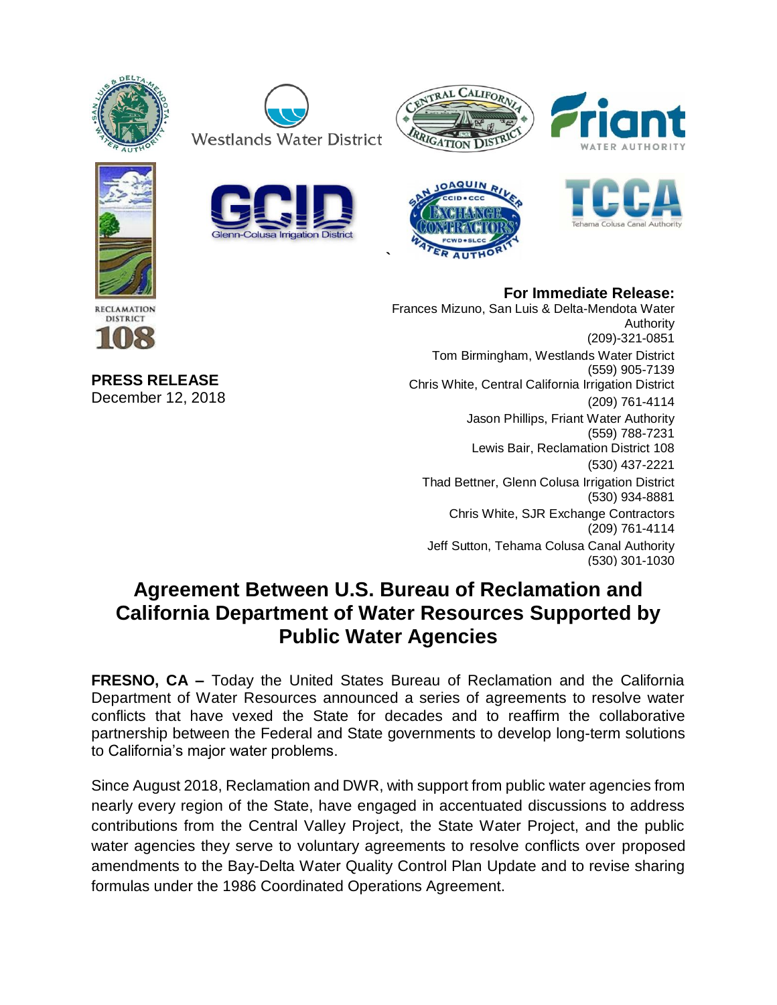















## **For Immediate Release:**

Frances Mizuno, San Luis & Delta-Mendota Water Authority (209)-321-0851 Tom Birmingham, Westlands Water District (559) 905-7139 Chris White, Central California Irrigation District (209) 761-4114 Jason Phillips, Friant Water Authority (559) 788-7231 Lewis Bair, Reclamation District 108 (530) 437-2221 Thad Bettner, Glenn Colusa Irrigation District (530) 934-8881 Chris White, SJR Exchange Contractors (209) 761-4114 Jeff Sutton, Tehama Colusa Canal Authority (530) 301-1030

## **Agreement Between U.S. Bureau of Reclamation and California Department of Water Resources Supported by Public Water Agencies**

**`**

**FRESNO, CA –** Today the United States Bureau of Reclamation and the California Department of Water Resources announced a series of agreements to resolve water conflicts that have vexed the State for decades and to reaffirm the collaborative partnership between the Federal and State governments to develop long-term solutions to California's major water problems.

Since August 2018, Reclamation and DWR, with support from public water agencies from nearly every region of the State, have engaged in accentuated discussions to address contributions from the Central Valley Project, the State Water Project, and the public water agencies they serve to voluntary agreements to resolve conflicts over proposed amendments to the Bay-Delta Water Quality Control Plan Update and to revise sharing formulas under the 1986 Coordinated Operations Agreement.

**PRESS RELEASE**  December 12, 2018